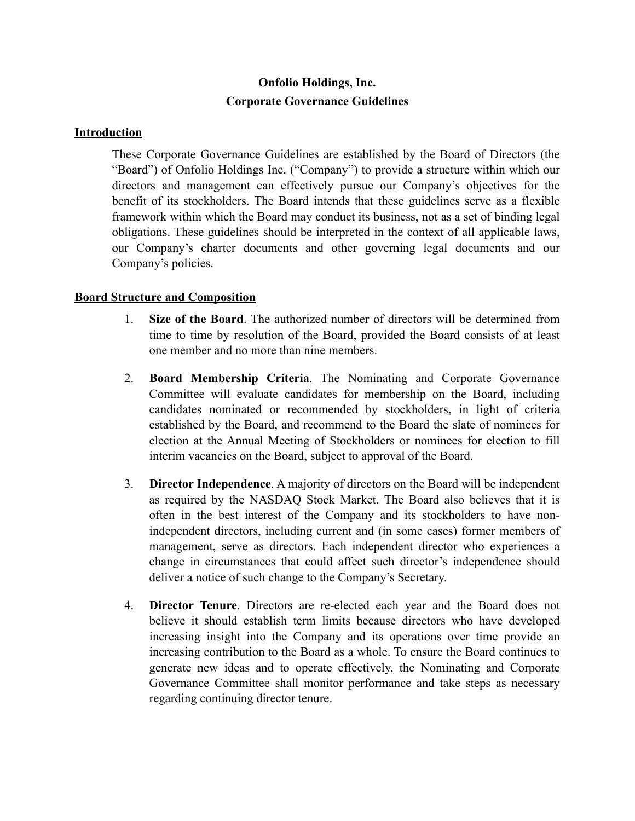# **Onfolio Holdings, Inc. Corporate Governance Guidelines**

#### **Introduction**

These Corporate Governance Guidelines are established by the Board of Directors (the "Board") of Onfolio Holdings Inc. ("Company") to provide a structure within which our directors and management can effectively pursue our Company's objectives for the benefit of its stockholders. The Board intends that these guidelines serve as a flexible framework within which the Board may conduct its business, not as a set of binding legal obligations. These guidelines should be interpreted in the context of all applicable laws, our Company's charter documents and other governing legal documents and our Company's policies.

### **Board Structure and Composition**

- 1. **Size of the Board**. The authorized number of directors will be determined from time to time by resolution of the Board, provided the Board consists of at least one member and no more than nine members.
- 2. **Board Membership Criteria**. The Nominating and Corporate Governance Committee will evaluate candidates for membership on the Board, including candidates nominated or recommended by stockholders, in light of criteria established by the Board, and recommend to the Board the slate of nominees for election at the Annual Meeting of Stockholders or nominees for election to fill interim vacancies on the Board, subject to approval of the Board.
- 3. **Director Independence**. A majority of directors on the Board will be independent as required by the NASDAQ Stock Market. The Board also believes that it is often in the best interest of the Company and its stockholders to have nonindependent directors, including current and (in some cases) former members of management, serve as directors. Each independent director who experiences a change in circumstances that could affect such director's independence should deliver a notice of such change to the Company's Secretary.
- 4. **Director Tenure**. Directors are re-elected each year and the Board does not believe it should establish term limits because directors who have developed increasing insight into the Company and its operations over time provide an increasing contribution to the Board as a whole. To ensure the Board continues to generate new ideas and to operate effectively, the Nominating and Corporate Governance Committee shall monitor performance and take steps as necessary regarding continuing director tenure.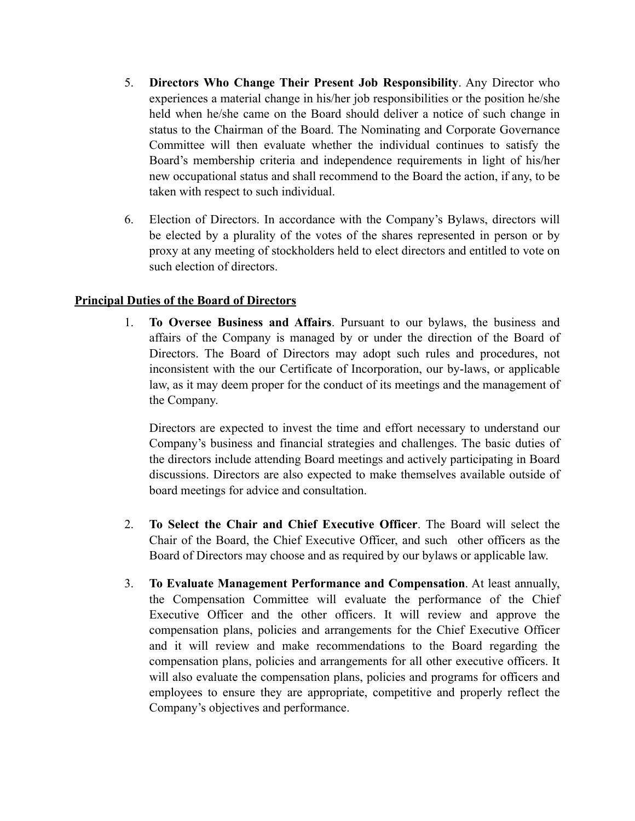- 5. **Directors Who Change Their Present Job Responsibility**. Any Director who experiences a material change in his/her job responsibilities or the position he/she held when he/she came on the Board should deliver a notice of such change in status to the Chairman of the Board. The Nominating and Corporate Governance Committee will then evaluate whether the individual continues to satisfy the Board's membership criteria and independence requirements in light of his/her new occupational status and shall recommend to the Board the action, if any, to be taken with respect to such individual.
- 6. Election of Directors. In accordance with the Company's Bylaws, directors will be elected by a plurality of the votes of the shares represented in person or by proxy at any meeting of stockholders held to elect directors and entitled to vote on such election of directors.

# **Principal Duties of the Board of Directors**

1. **To Oversee Business and Affairs**. Pursuant to our bylaws, the business and affairs of the Company is managed by or under the direction of the Board of Directors. The Board of Directors may adopt such rules and procedures, not inconsistent with the our Certificate of Incorporation, our by-laws, or applicable law, as it may deem proper for the conduct of its meetings and the management of the Company.

Directors are expected to invest the time and effort necessary to understand our Company's business and financial strategies and challenges. The basic duties of the directors include attending Board meetings and actively participating in Board discussions. Directors are also expected to make themselves available outside of board meetings for advice and consultation.

- 2. **To Select the Chair and Chief Executive Officer**. The Board will select the Chair of the Board, the Chief Executive Officer, and such other officers as the Board of Directors may choose and as required by our bylaws or applicable law.
- 3. **To Evaluate Management Performance and Compensation**. At least annually, the Compensation Committee will evaluate the performance of the Chief Executive Officer and the other officers. It will review and approve the compensation plans, policies and arrangements for the Chief Executive Officer and it will review and make recommendations to the Board regarding the compensation plans, policies and arrangements for all other executive officers. It will also evaluate the compensation plans, policies and programs for officers and employees to ensure they are appropriate, competitive and properly reflect the Company's objectives and performance.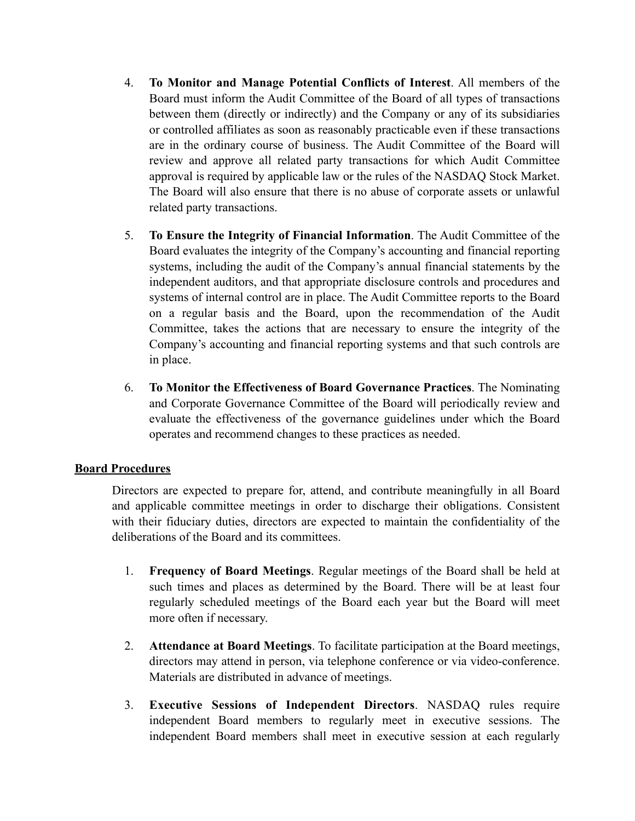- 4. **To Monitor and Manage Potential Conflicts of Interest**. All members of the Board must inform the Audit Committee of the Board of all types of transactions between them (directly or indirectly) and the Company or any of its subsidiaries or controlled affiliates as soon as reasonably practicable even if these transactions are in the ordinary course of business. The Audit Committee of the Board will review and approve all related party transactions for which Audit Committee approval is required by applicable law or the rules of the NASDAQ Stock Market. The Board will also ensure that there is no abuse of corporate assets or unlawful related party transactions.
- 5. **To Ensure the Integrity of Financial Information**. The Audit Committee of the Board evaluates the integrity of the Company's accounting and financial reporting systems, including the audit of the Company's annual financial statements by the independent auditors, and that appropriate disclosure controls and procedures and systems of internal control are in place. The Audit Committee reports to the Board on a regular basis and the Board, upon the recommendation of the Audit Committee, takes the actions that are necessary to ensure the integrity of the Company's accounting and financial reporting systems and that such controls are in place.
- 6. **To Monitor the Effectiveness of Board Governance Practices**. The Nominating and Corporate Governance Committee of the Board will periodically review and evaluate the effectiveness of the governance guidelines under which the Board operates and recommend changes to these practices as needed.

# **Board Procedures**

Directors are expected to prepare for, attend, and contribute meaningfully in all Board and applicable committee meetings in order to discharge their obligations. Consistent with their fiduciary duties, directors are expected to maintain the confidentiality of the deliberations of the Board and its committees.

- 1. **Frequency of Board Meetings**. Regular meetings of the Board shall be held at such times and places as determined by the Board. There will be at least four regularly scheduled meetings of the Board each year but the Board will meet more often if necessary.
- 2. **Attendance at Board Meetings**. To facilitate participation at the Board meetings, directors may attend in person, via telephone conference or via video-conference. Materials are distributed in advance of meetings.
- 3. **Executive Sessions of Independent Directors**. NASDAQ rules require independent Board members to regularly meet in executive sessions. The independent Board members shall meet in executive session at each regularly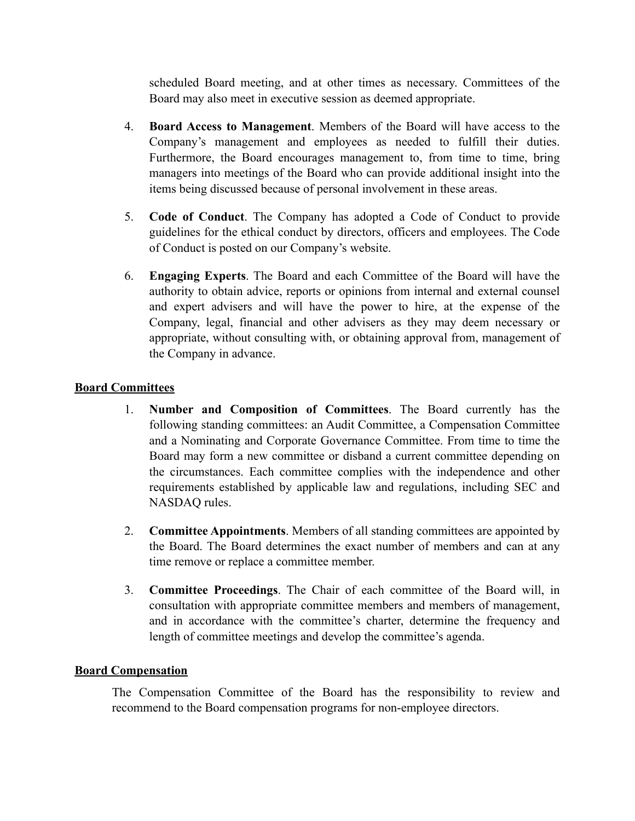scheduled Board meeting, and at other times as necessary. Committees of the Board may also meet in executive session as deemed appropriate.

- 4. **Board Access to Management**. Members of the Board will have access to the Company's management and employees as needed to fulfill their duties. Furthermore, the Board encourages management to, from time to time, bring managers into meetings of the Board who can provide additional insight into the items being discussed because of personal involvement in these areas.
- 5. **Code of Conduct**. The Company has adopted a Code of Conduct to provide guidelines for the ethical conduct by directors, officers and employees. The Code of Conduct is posted on our Company's website.
- 6. **Engaging Experts**. The Board and each Committee of the Board will have the authority to obtain advice, reports or opinions from internal and external counsel and expert advisers and will have the power to hire, at the expense of the Company, legal, financial and other advisers as they may deem necessary or appropriate, without consulting with, or obtaining approval from, management of the Company in advance.

# **Board Committees**

- 1. **Number and Composition of Committees**. The Board currently has the following standing committees: an Audit Committee, a Compensation Committee and a Nominating and Corporate Governance Committee. From time to time the Board may form a new committee or disband a current committee depending on the circumstances. Each committee complies with the independence and other requirements established by applicable law and regulations, including SEC and NASDAQ rules.
- 2. **Committee Appointments**. Members of all standing committees are appointed by the Board. The Board determines the exact number of members and can at any time remove or replace a committee member.
- 3. **Committee Proceedings**. The Chair of each committee of the Board will, in consultation with appropriate committee members and members of management, and in accordance with the committee's charter, determine the frequency and length of committee meetings and develop the committee's agenda.

# **Board Compensation**

The Compensation Committee of the Board has the responsibility to review and recommend to the Board compensation programs for non-employee directors.